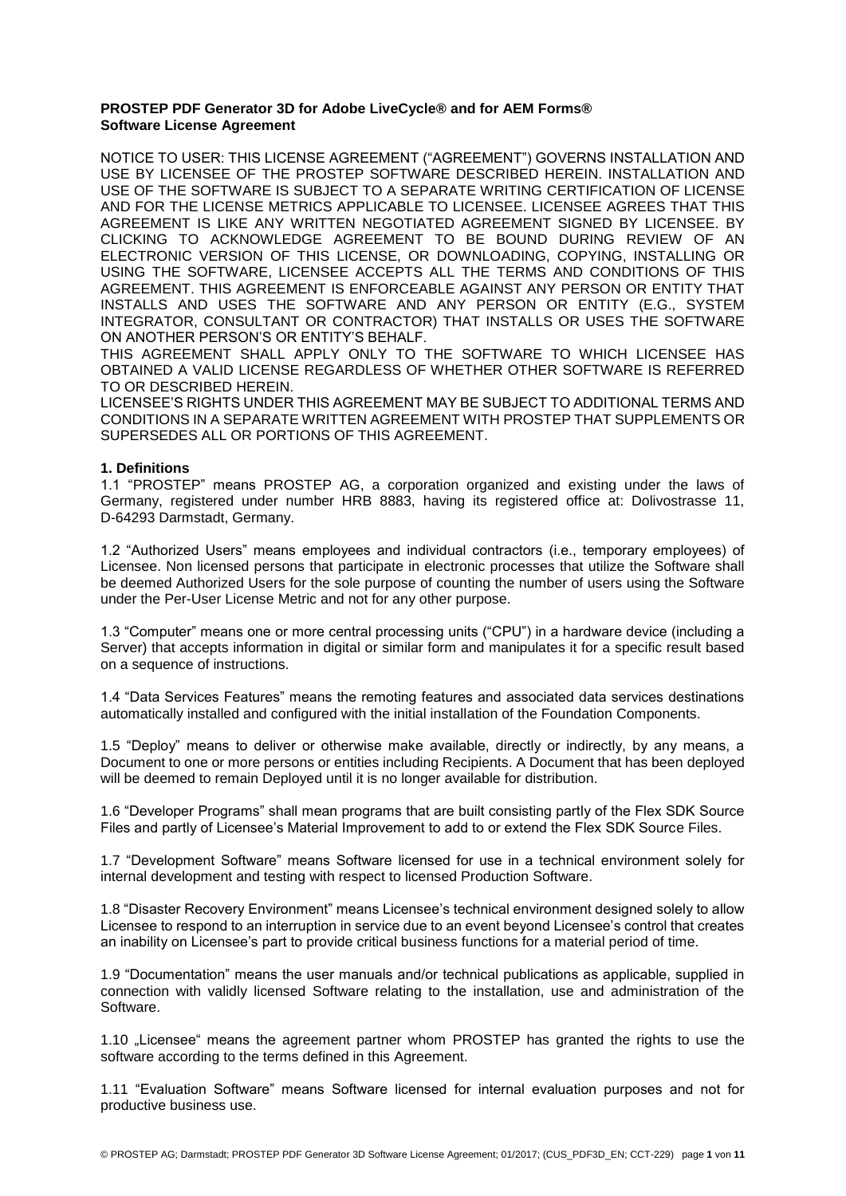### **PROSTEP PDF Generator 3D for Adobe LiveCycle® and for AEM Forms® Software License Agreement**

NOTICE TO USER: THIS LICENSE AGREEMENT ("AGREEMENT") GOVERNS INSTALLATION AND USE BY LICENSEE OF THE PROSTEP SOFTWARE DESCRIBED HEREIN. INSTALLATION AND USE OF THE SOFTWARE IS SUBJECT TO A SEPARATE WRITING CERTIFICATION OF LICENSE AND FOR THE LICENSE METRICS APPLICABLE TO LICENSEE. LICENSEE AGREES THAT THIS AGREEMENT IS LIKE ANY WRITTEN NEGOTIATED AGREEMENT SIGNED BY LICENSEE. BY CLICKING TO ACKNOWLEDGE AGREEMENT TO BE BOUND DURING REVIEW OF AN ELECTRONIC VERSION OF THIS LICENSE, OR DOWNLOADING, COPYING, INSTALLING OR USING THE SOFTWARE, LICENSEE ACCEPTS ALL THE TERMS AND CONDITIONS OF THIS AGREEMENT. THIS AGREEMENT IS ENFORCEABLE AGAINST ANY PERSON OR ENTITY THAT INSTALLS AND USES THE SOFTWARE AND ANY PERSON OR ENTITY (E.G., SYSTEM INTEGRATOR, CONSULTANT OR CONTRACTOR) THAT INSTALLS OR USES THE SOFTWARE ON ANOTHER PERSON'S OR ENTITY'S BEHALF.

THIS AGREEMENT SHALL APPLY ONLY TO THE SOFTWARE TO WHICH LICENSEE HAS OBTAINED A VALID LICENSE REGARDLESS OF WHETHER OTHER SOFTWARE IS REFERRED TO OR DESCRIBED HEREIN.

LICENSEE'S RIGHTS UNDER THIS AGREEMENT MAY BE SUBJECT TO ADDITIONAL TERMS AND CONDITIONS IN A SEPARATE WRITTEN AGREEMENT WITH PROSTEP THAT SUPPLEMENTS OR SUPERSEDES ALL OR PORTIONS OF THIS AGREEMENT.

## **1. Definitions**

1.1 "PROSTEP" means PROSTEP AG, a corporation organized and existing under the laws of Germany, registered under number HRB 8883, having its registered office at: Dolivostrasse 11, D-64293 Darmstadt, Germany.

1.2 "Authorized Users" means employees and individual contractors (i.e., temporary employees) of Licensee. Non licensed persons that participate in electronic processes that utilize the Software shall be deemed Authorized Users for the sole purpose of counting the number of users using the Software under the Per-User License Metric and not for any other purpose.

1.3 "Computer" means one or more central processing units ("CPU") in a hardware device (including a Server) that accepts information in digital or similar form and manipulates it for a specific result based on a sequence of instructions.

1.4 "Data Services Features" means the remoting features and associated data services destinations automatically installed and configured with the initial installation of the Foundation Components.

1.5 "Deploy" means to deliver or otherwise make available, directly or indirectly, by any means, a Document to one or more persons or entities including Recipients. A Document that has been deployed will be deemed to remain Deployed until it is no longer available for distribution.

1.6 "Developer Programs" shall mean programs that are built consisting partly of the Flex SDK Source Files and partly of Licensee's Material Improvement to add to or extend the Flex SDK Source Files.

1.7 "Development Software" means Software licensed for use in a technical environment solely for internal development and testing with respect to licensed Production Software.

1.8 "Disaster Recovery Environment" means Licensee's technical environment designed solely to allow Licensee to respond to an interruption in service due to an event beyond Licensee's control that creates an inability on Licensee's part to provide critical business functions for a material period of time.

1.9 "Documentation" means the user manuals and/or technical publications as applicable, supplied in connection with validly licensed Software relating to the installation, use and administration of the Software.

1.10 "Licensee" means the agreement partner whom PROSTEP has granted the rights to use the software according to the terms defined in this Agreement.

1.11 "Evaluation Software" means Software licensed for internal evaluation purposes and not for productive business use.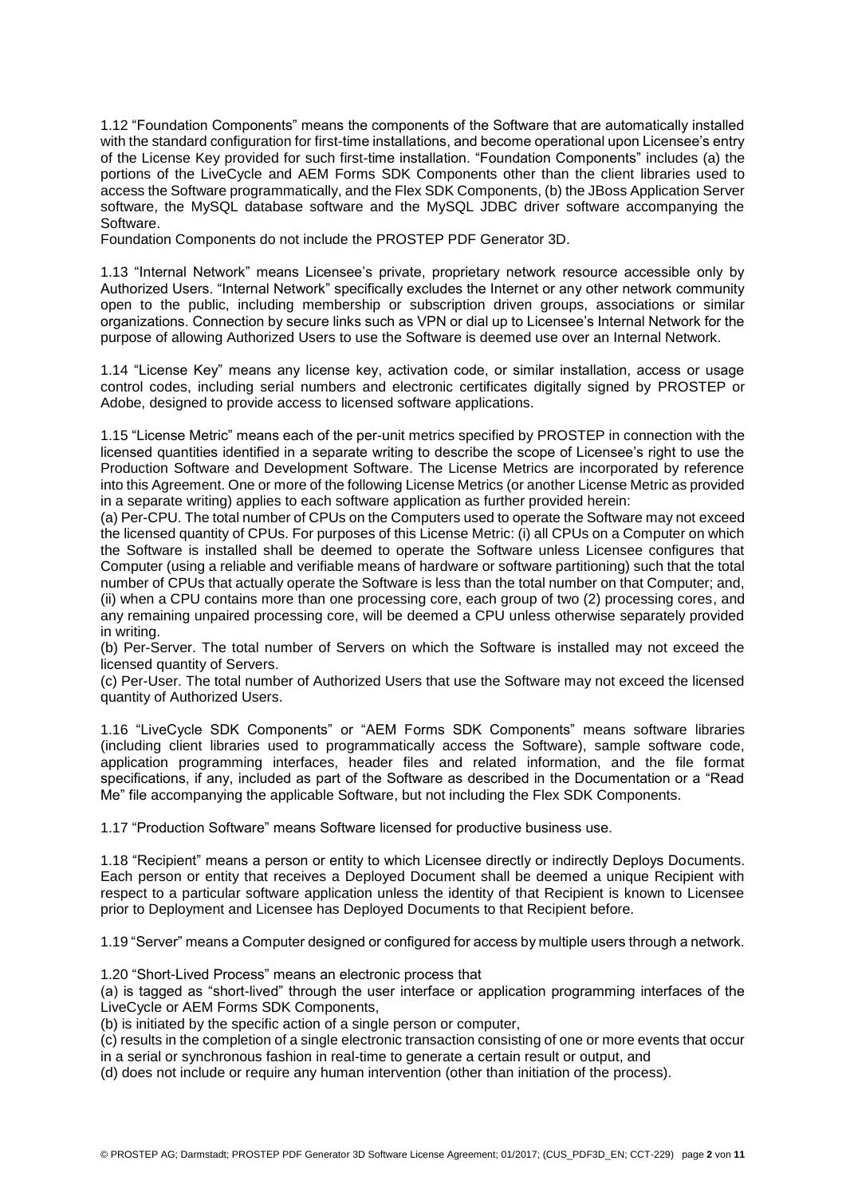1.12 "Foundation Components" means the components of the Software that are automatically installed with the standard configuration for first-time installations, and become operational upon Licensee's entry of the License Key provided for such first-time installation. "Foundation Components" includes (a) the portions of the LiveCycle and AEM Forms SDK Components other than the client libraries used to access the Software programmatically, and the Flex SDK Components, (b) the JBoss Application Server software, the MySQL database software and the MySQL JDBC driver software accompanying the Software.

Foundation Components do not include the PROSTEP PDF Generator 3D.

1.13 "Internal Network" means Licensee's private, proprietary network resource accessible only by Authorized Users. "Internal Network" specifically excludes the Internet or any other network community open to the public, including membership or subscription driven groups, associations or similar organizations. Connection by secure links such as VPN or dial up to Licensee's Internal Network for the purpose of allowing Authorized Users to use the Software is deemed use over an Internal Network.

1.14 "License Key" means any license key, activation code, or similar installation, access or usage control codes, including serial numbers and electronic certificates digitally signed by PROSTEP or Adobe, designed to provide access to licensed software applications.

1.15 "License Metric" means each of the per-unit metrics specified by PROSTEP in connection with the licensed quantities identified in a separate writing to describe the scope of Licensee's right to use the Production Software and Development Software. The License Metrics are incorporated by reference into this Agreement. One or more of the following License Metrics (or another License Metric as provided in a separate writing) applies to each software application as further provided herein:

(a) Per-CPU. The total number of CPUs on the Computers used to operate the Software may not exceed the licensed quantity of CPUs. For purposes of this License Metric: (i) all CPUs on a Computer on which the Software is installed shall be deemed to operate the Software unless Licensee configures that Computer (using a reliable and verifiable means of hardware or software partitioning) such that the total number of CPUs that actually operate the Software is less than the total number on that Computer; and, (ii) when a CPU contains more than one processing core, each group of two (2) processing cores, and any remaining unpaired processing core, will be deemed a CPU unless otherwise separately provided in writing.

(b) Per-Server. The total number of Servers on which the Software is installed may not exceed the licensed quantity of Servers.

(c) Per-User. The total number of Authorized Users that use the Software may not exceed the licensed quantity of Authorized Users.

1.16 "LiveCycle SDK Components" or "AEM Forms SDK Components" means software libraries (including client libraries used to programmatically access the Software), sample software code, application programming interfaces, header files and related information, and the file format specifications, if any, included as part of the Software as described in the Documentation or a "Read Me" file accompanying the applicable Software, but not including the Flex SDK Components.

1.17 "Production Software" means Software licensed for productive business use.

1.18 "Recipient" means a person or entity to which Licensee directly or indirectly Deploys Documents. Each person or entity that receives a Deployed Document shall be deemed a unique Recipient with respect to a particular software application unless the identity of that Recipient is known to Licensee prior to Deployment and Licensee has Deployed Documents to that Recipient before.

1.19 "Server" means a Computer designed or configured for access by multiple users through a network.

1.20 "Short-Lived Process" means an electronic process that

(a) is tagged as "short-lived" through the user interface or application programming interfaces of the LiveCycle or AEM Forms SDK Components,

(b) is initiated by the specific action of a single person or computer,

(c) results in the completion of a single electronic transaction consisting of one or more events that occur in a serial or synchronous fashion in real-time to generate a certain result or output, and

(d) does not include or require any human intervention (other than initiation of the process).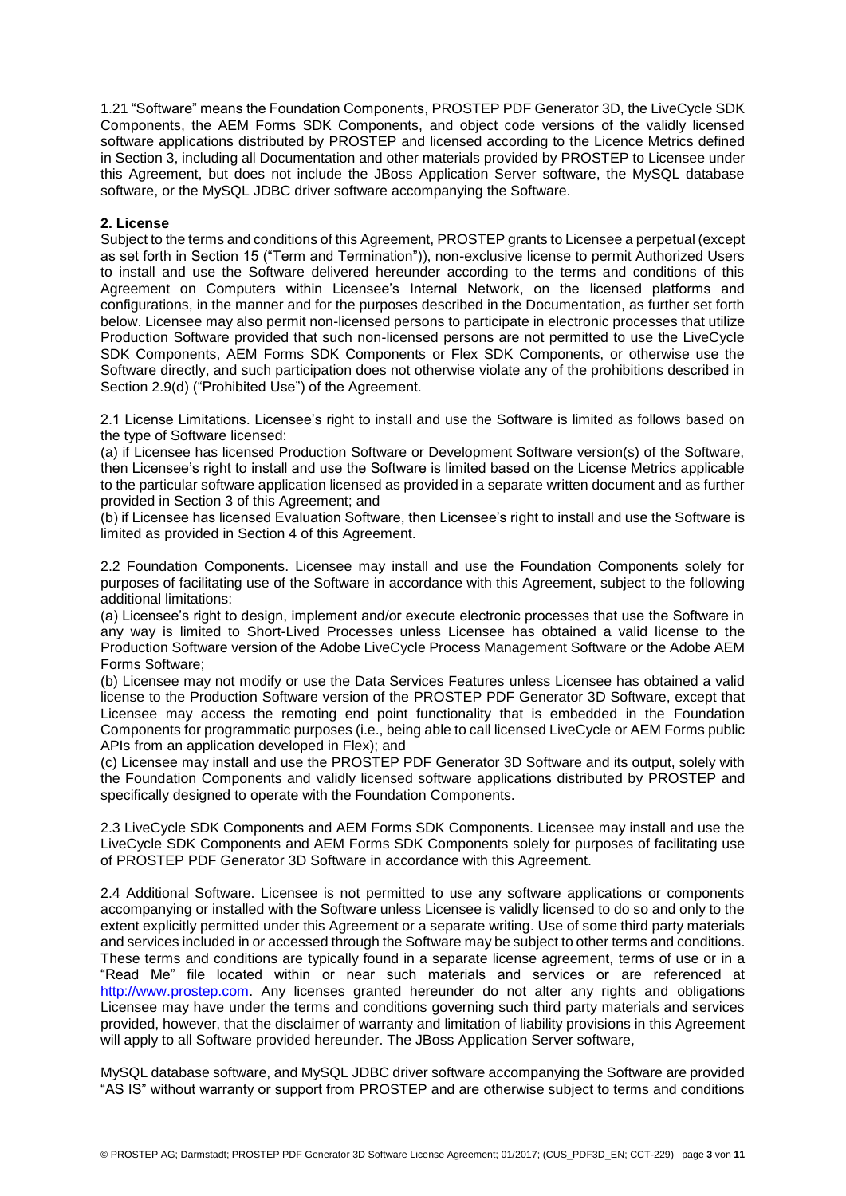1.21 "Software" means the Foundation Components, PROSTEP PDF Generator 3D, the LiveCycle SDK Components, the AEM Forms SDK Components, and object code versions of the validly licensed software applications distributed by PROSTEP and licensed according to the Licence Metrics defined in Section 3, including all Documentation and other materials provided by PROSTEP to Licensee under this Agreement, but does not include the JBoss Application Server software, the MySQL database software, or the MySQL JDBC driver software accompanying the Software.

### **2. License**

Subject to the terms and conditions of this Agreement, PROSTEP grants to Licensee a perpetual (except as set forth in Section 15 ("Term and Termination")), non-exclusive license to permit Authorized Users to install and use the Software delivered hereunder according to the terms and conditions of this Agreement on Computers within Licensee's Internal Network, on the licensed platforms and configurations, in the manner and for the purposes described in the Documentation, as further set forth below. Licensee may also permit non-licensed persons to participate in electronic processes that utilize Production Software provided that such non-licensed persons are not permitted to use the LiveCycle SDK Components, AEM Forms SDK Components or Flex SDK Components, or otherwise use the Software directly, and such participation does not otherwise violate any of the prohibitions described in Section 2.9(d) ("Prohibited Use") of the Agreement.

2.1 License Limitations. Licensee's right to install and use the Software is limited as follows based on the type of Software licensed:

(a) if Licensee has licensed Production Software or Development Software version(s) of the Software, then Licensee's right to install and use the Software is limited based on the License Metrics applicable to the particular software application licensed as provided in a separate written document and as further provided in Section 3 of this Agreement; and

(b) if Licensee has licensed Evaluation Software, then Licensee's right to install and use the Software is limited as provided in Section 4 of this Agreement.

2.2 Foundation Components. Licensee may install and use the Foundation Components solely for purposes of facilitating use of the Software in accordance with this Agreement, subject to the following additional limitations:

(a) Licensee's right to design, implement and/or execute electronic processes that use the Software in any way is limited to Short-Lived Processes unless Licensee has obtained a valid license to the Production Software version of the Adobe LiveCycle Process Management Software or the Adobe AEM Forms Software;

(b) Licensee may not modify or use the Data Services Features unless Licensee has obtained a valid license to the Production Software version of the PROSTEP PDF Generator 3D Software, except that Licensee may access the remoting end point functionality that is embedded in the Foundation Components for programmatic purposes (i.e., being able to call licensed LiveCycle or AEM Forms public APIs from an application developed in Flex); and

(c) Licensee may install and use the PROSTEP PDF Generator 3D Software and its output, solely with the Foundation Components and validly licensed software applications distributed by PROSTEP and specifically designed to operate with the Foundation Components.

2.3 LiveCycle SDK Components and AEM Forms SDK Components. Licensee may install and use the LiveCycle SDK Components and AEM Forms SDK Components solely for purposes of facilitating use of PROSTEP PDF Generator 3D Software in accordance with this Agreement.

2.4 Additional Software. Licensee is not permitted to use any software applications or components accompanying or installed with the Software unless Licensee is validly licensed to do so and only to the extent explicitly permitted under this Agreement or a separate writing. Use of some third party materials and services included in or accessed through the Software may be subject to other terms and conditions. These terms and conditions are typically found in a separate license agreement, terms of use or in a "Read Me" file located within or near such materials and services or are referenced at http://www.prostep.com. Any licenses granted hereunder do not alter any rights and obligations Licensee may have under the terms and conditions governing such third party materials and services provided, however, that the disclaimer of warranty and limitation of liability provisions in this Agreement will apply to all Software provided hereunder. The JBoss Application Server software,

MySQL database software, and MySQL JDBC driver software accompanying the Software are provided "AS IS" without warranty or support from PROSTEP and are otherwise subject to terms and conditions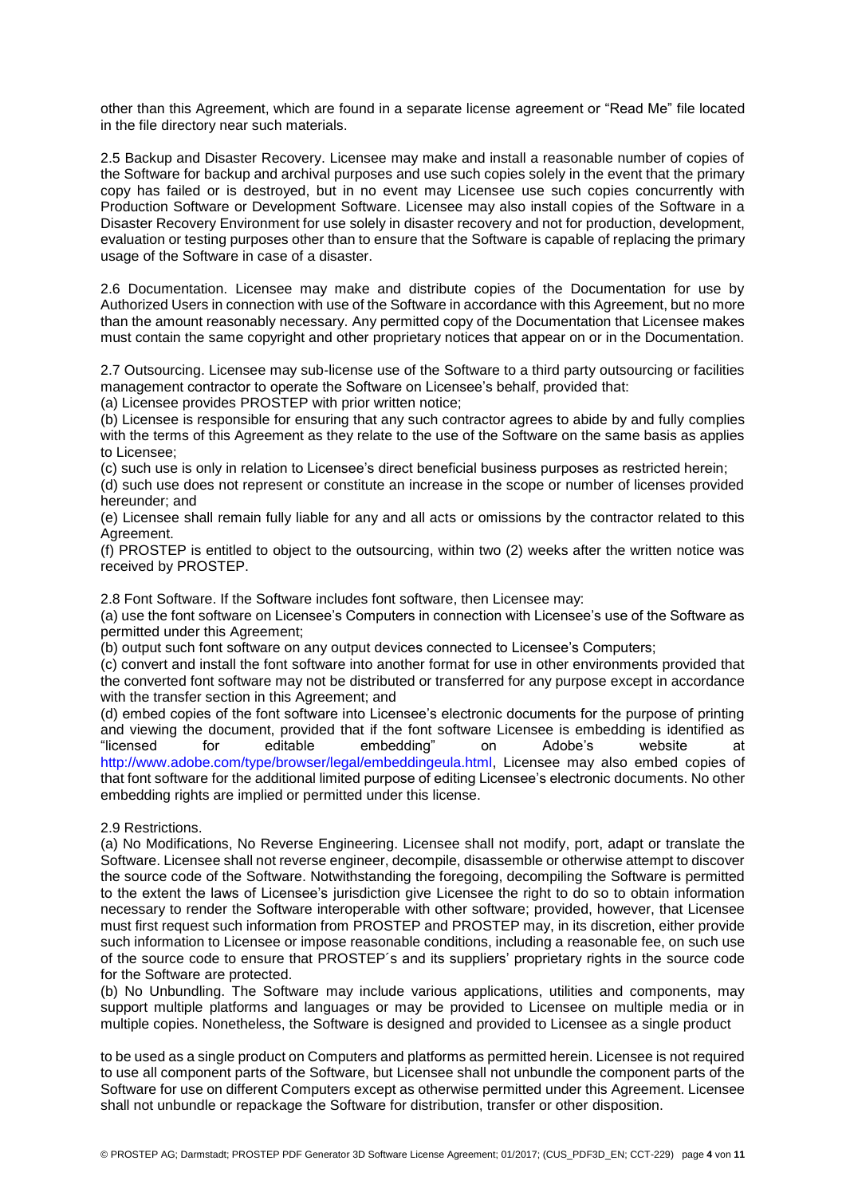other than this Agreement, which are found in a separate license agreement or "Read Me" file located in the file directory near such materials.

2.5 Backup and Disaster Recovery. Licensee may make and install a reasonable number of copies of the Software for backup and archival purposes and use such copies solely in the event that the primary copy has failed or is destroyed, but in no event may Licensee use such copies concurrently with Production Software or Development Software. Licensee may also install copies of the Software in a Disaster Recovery Environment for use solely in disaster recovery and not for production, development, evaluation or testing purposes other than to ensure that the Software is capable of replacing the primary usage of the Software in case of a disaster.

2.6 Documentation. Licensee may make and distribute copies of the Documentation for use by Authorized Users in connection with use of the Software in accordance with this Agreement, but no more than the amount reasonably necessary. Any permitted copy of the Documentation that Licensee makes must contain the same copyright and other proprietary notices that appear on or in the Documentation.

2.7 Outsourcing. Licensee may sub-license use of the Software to a third party outsourcing or facilities management contractor to operate the Software on Licensee's behalf, provided that:

(a) Licensee provides PROSTEP with prior written notice;

(b) Licensee is responsible for ensuring that any such contractor agrees to abide by and fully complies with the terms of this Agreement as they relate to the use of the Software on the same basis as applies to Licensee;

(c) such use is only in relation to Licensee's direct beneficial business purposes as restricted herein;

(d) such use does not represent or constitute an increase in the scope or number of licenses provided hereunder; and

(e) Licensee shall remain fully liable for any and all acts or omissions by the contractor related to this Agreement.

(f) PROSTEP is entitled to object to the outsourcing, within two (2) weeks after the written notice was received by PROSTEP.

2.8 Font Software. If the Software includes font software, then Licensee may:

(a) use the font software on Licensee's Computers in connection with Licensee's use of the Software as permitted under this Agreement;

(b) output such font software on any output devices connected to Licensee's Computers;

(c) convert and install the font software into another format for use in other environments provided that the converted font software may not be distributed or transferred for any purpose except in accordance with the transfer section in this Agreement; and

(d) embed copies of the font software into Licensee's electronic documents for the purpose of printing and viewing the document, provided that if the font software Licensee is embedding is identified as "licensed for editable embedding" on Adobe's website at http://www.adobe.com/type/browser/legal/embeddingeula.html, Licensee may also embed copies of that font software for the additional limited purpose of editing Licensee's electronic documents. No other embedding rights are implied or permitted under this license.

### 2.9 Restrictions.

(a) No Modifications, No Reverse Engineering. Licensee shall not modify, port, adapt or translate the Software. Licensee shall not reverse engineer, decompile, disassemble or otherwise attempt to discover the source code of the Software. Notwithstanding the foregoing, decompiling the Software is permitted to the extent the laws of Licensee's jurisdiction give Licensee the right to do so to obtain information necessary to render the Software interoperable with other software; provided, however, that Licensee must first request such information from PROSTEP and PROSTEP may, in its discretion, either provide such information to Licensee or impose reasonable conditions, including a reasonable fee, on such use of the source code to ensure that PROSTEP´s and its suppliers' proprietary rights in the source code for the Software are protected.

(b) No Unbundling. The Software may include various applications, utilities and components, may support multiple platforms and languages or may be provided to Licensee on multiple media or in multiple copies. Nonetheless, the Software is designed and provided to Licensee as a single product

to be used as a single product on Computers and platforms as permitted herein. Licensee is not required to use all component parts of the Software, but Licensee shall not unbundle the component parts of the Software for use on different Computers except as otherwise permitted under this Agreement. Licensee shall not unbundle or repackage the Software for distribution, transfer or other disposition.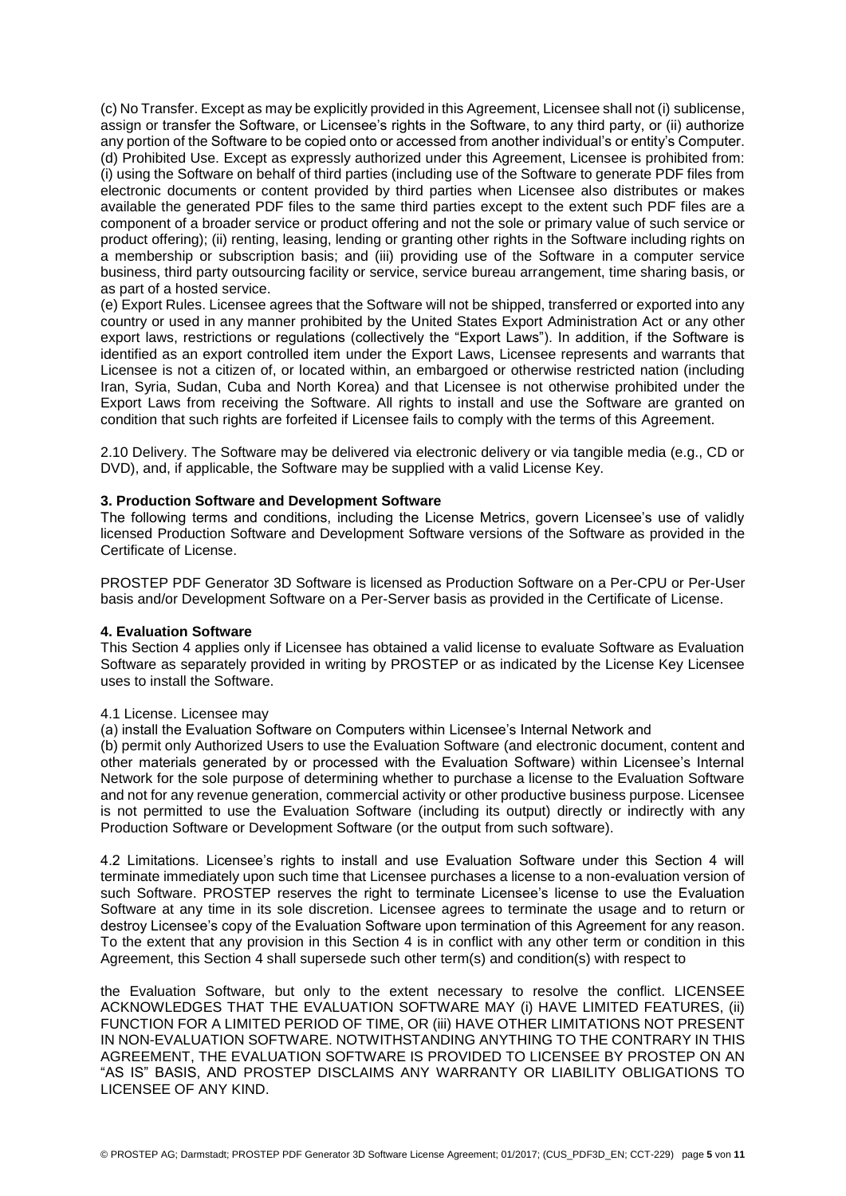(c) No Transfer. Except as may be explicitly provided in this Agreement, Licensee shall not (i) sublicense, assign or transfer the Software, or Licensee's rights in the Software, to any third party, or (ii) authorize any portion of the Software to be copied onto or accessed from another individual's or entity's Computer. (d) Prohibited Use. Except as expressly authorized under this Agreement, Licensee is prohibited from: (i) using the Software on behalf of third parties (including use of the Software to generate PDF files from electronic documents or content provided by third parties when Licensee also distributes or makes available the generated PDF files to the same third parties except to the extent such PDF files are a component of a broader service or product offering and not the sole or primary value of such service or product offering); (ii) renting, leasing, lending or granting other rights in the Software including rights on a membership or subscription basis; and (iii) providing use of the Software in a computer service business, third party outsourcing facility or service, service bureau arrangement, time sharing basis, or as part of a hosted service.

(e) Export Rules. Licensee agrees that the Software will not be shipped, transferred or exported into any country or used in any manner prohibited by the United States Export Administration Act or any other export laws, restrictions or regulations (collectively the "Export Laws"). In addition, if the Software is identified as an export controlled item under the Export Laws, Licensee represents and warrants that Licensee is not a citizen of, or located within, an embargoed or otherwise restricted nation (including Iran, Syria, Sudan, Cuba and North Korea) and that Licensee is not otherwise prohibited under the Export Laws from receiving the Software. All rights to install and use the Software are granted on condition that such rights are forfeited if Licensee fails to comply with the terms of this Agreement.

2.10 Delivery. The Software may be delivered via electronic delivery or via tangible media (e.g., CD or DVD), and, if applicable, the Software may be supplied with a valid License Key.

### **3. Production Software and Development Software**

The following terms and conditions, including the License Metrics, govern Licensee's use of validly licensed Production Software and Development Software versions of the Software as provided in the Certificate of License.

PROSTEP PDF Generator 3D Software is licensed as Production Software on a Per-CPU or Per-User basis and/or Development Software on a Per-Server basis as provided in the Certificate of License.

### **4. Evaluation Software**

This Section 4 applies only if Licensee has obtained a valid license to evaluate Software as Evaluation Software as separately provided in writing by PROSTEP or as indicated by the License Key Licensee uses to install the Software.

#### 4.1 License. Licensee may

(a) install the Evaluation Software on Computers within Licensee's Internal Network and

(b) permit only Authorized Users to use the Evaluation Software (and electronic document, content and other materials generated by or processed with the Evaluation Software) within Licensee's Internal Network for the sole purpose of determining whether to purchase a license to the Evaluation Software and not for any revenue generation, commercial activity or other productive business purpose. Licensee is not permitted to use the Evaluation Software (including its output) directly or indirectly with any Production Software or Development Software (or the output from such software).

4.2 Limitations. Licensee's rights to install and use Evaluation Software under this Section 4 will terminate immediately upon such time that Licensee purchases a license to a non-evaluation version of such Software. PROSTEP reserves the right to terminate Licensee's license to use the Evaluation Software at any time in its sole discretion. Licensee agrees to terminate the usage and to return or destroy Licensee's copy of the Evaluation Software upon termination of this Agreement for any reason. To the extent that any provision in this Section 4 is in conflict with any other term or condition in this Agreement, this Section 4 shall supersede such other term(s) and condition(s) with respect to

the Evaluation Software, but only to the extent necessary to resolve the conflict. LICENSEE ACKNOWLEDGES THAT THE EVALUATION SOFTWARE MAY (i) HAVE LIMITED FEATURES, (ii) FUNCTION FOR A LIMITED PERIOD OF TIME, OR (iii) HAVE OTHER LIMITATIONS NOT PRESENT IN NON-EVALUATION SOFTWARE. NOTWITHSTANDING ANYTHING TO THE CONTRARY IN THIS AGREEMENT, THE EVALUATION SOFTWARE IS PROVIDED TO LICENSEE BY PROSTEP ON AN "AS IS" BASIS, AND PROSTEP DISCLAIMS ANY WARRANTY OR LIABILITY OBLIGATIONS TO LICENSEE OF ANY KIND.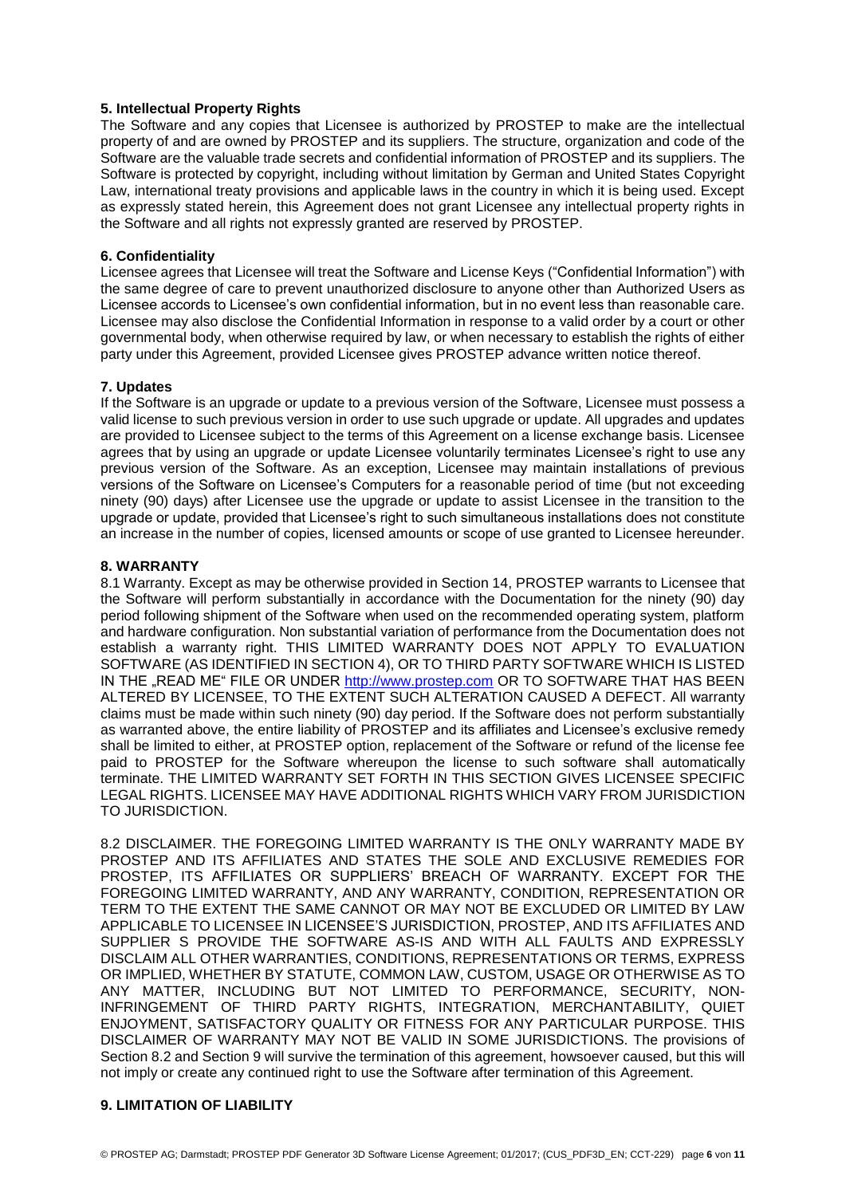### **5. Intellectual Property Rights**

The Software and any copies that Licensee is authorized by PROSTEP to make are the intellectual property of and are owned by PROSTEP and its suppliers. The structure, organization and code of the Software are the valuable trade secrets and confidential information of PROSTEP and its suppliers. The Software is protected by copyright, including without limitation by German and United States Copyright Law, international treaty provisions and applicable laws in the country in which it is being used. Except as expressly stated herein, this Agreement does not grant Licensee any intellectual property rights in the Software and all rights not expressly granted are reserved by PROSTEP.

## **6. Confidentiality**

Licensee agrees that Licensee will treat the Software and License Keys ("Confidential Information") with the same degree of care to prevent unauthorized disclosure to anyone other than Authorized Users as Licensee accords to Licensee's own confidential information, but in no event less than reasonable care. Licensee may also disclose the Confidential Information in response to a valid order by a court or other governmental body, when otherwise required by law, or when necessary to establish the rights of either party under this Agreement, provided Licensee gives PROSTEP advance written notice thereof.

## **7. Updates**

If the Software is an upgrade or update to a previous version of the Software, Licensee must possess a valid license to such previous version in order to use such upgrade or update. All upgrades and updates are provided to Licensee subject to the terms of this Agreement on a license exchange basis. Licensee agrees that by using an upgrade or update Licensee voluntarily terminates Licensee's right to use any previous version of the Software. As an exception, Licensee may maintain installations of previous versions of the Software on Licensee's Computers for a reasonable period of time (but not exceeding ninety (90) days) after Licensee use the upgrade or update to assist Licensee in the transition to the upgrade or update, provided that Licensee's right to such simultaneous installations does not constitute an increase in the number of copies, licensed amounts or scope of use granted to Licensee hereunder.

## **8. WARRANTY**

8.1 Warranty. Except as may be otherwise provided in Section 14, PROSTEP warrants to Licensee that the Software will perform substantially in accordance with the Documentation for the ninety (90) day period following shipment of the Software when used on the recommended operating system, platform and hardware configuration. Non substantial variation of performance from the Documentation does not establish a warranty right. THIS LIMITED WARRANTY DOES NOT APPLY TO EVALUATION SOFTWARE (AS IDENTIFIED IN SECTION 4), OR TO THIRD PARTY SOFTWARE WHICH IS LISTED IN THE "READ ME" FILE OR UNDER [http://www.prostep.com](http://www.prostep.com/) OR TO SOFTWARE THAT HAS BEEN ALTERED BY LICENSEE, TO THE EXTENT SUCH ALTERATION CAUSED A DEFECT. All warranty claims must be made within such ninety (90) day period. If the Software does not perform substantially as warranted above, the entire liability of PROSTEP and its affiliates and Licensee's exclusive remedy shall be limited to either, at PROSTEP option, replacement of the Software or refund of the license fee paid to PROSTEP for the Software whereupon the license to such software shall automatically terminate. THE LIMITED WARRANTY SET FORTH IN THIS SECTION GIVES LICENSEE SPECIFIC LEGAL RIGHTS. LICENSEE MAY HAVE ADDITIONAL RIGHTS WHICH VARY FROM JURISDICTION TO JURISDICTION.

8.2 DISCLAIMER. THE FOREGOING LIMITED WARRANTY IS THE ONLY WARRANTY MADE BY PROSTEP AND ITS AFFILIATES AND STATES THE SOLE AND EXCLUSIVE REMEDIES FOR PROSTEP, ITS AFFILIATES OR SUPPLIERS' BREACH OF WARRANTY. EXCEPT FOR THE FOREGOING LIMITED WARRANTY, AND ANY WARRANTY, CONDITION, REPRESENTATION OR TERM TO THE EXTENT THE SAME CANNOT OR MAY NOT BE EXCLUDED OR LIMITED BY LAW APPLICABLE TO LICENSEE IN LICENSEE'S JURISDICTION, PROSTEP, AND ITS AFFILIATES AND SUPPLIER S PROVIDE THE SOFTWARE AS-IS AND WITH ALL FAULTS AND EXPRESSLY DISCLAIM ALL OTHER WARRANTIES, CONDITIONS, REPRESENTATIONS OR TERMS, EXPRESS OR IMPLIED, WHETHER BY STATUTE, COMMON LAW, CUSTOM, USAGE OR OTHERWISE AS TO ANY MATTER, INCLUDING BUT NOT LIMITED TO PERFORMANCE, SECURITY, NON-INFRINGEMENT OF THIRD PARTY RIGHTS, INTEGRATION, MERCHANTABILITY, QUIET ENJOYMENT, SATISFACTORY QUALITY OR FITNESS FOR ANY PARTICULAR PURPOSE. THIS DISCLAIMER OF WARRANTY MAY NOT BE VALID IN SOME JURISDICTIONS. The provisions of Section 8.2 and Section 9 will survive the termination of this agreement, howsoever caused, but this will not imply or create any continued right to use the Software after termination of this Agreement.

# **9. LIMITATION OF LIABILITY**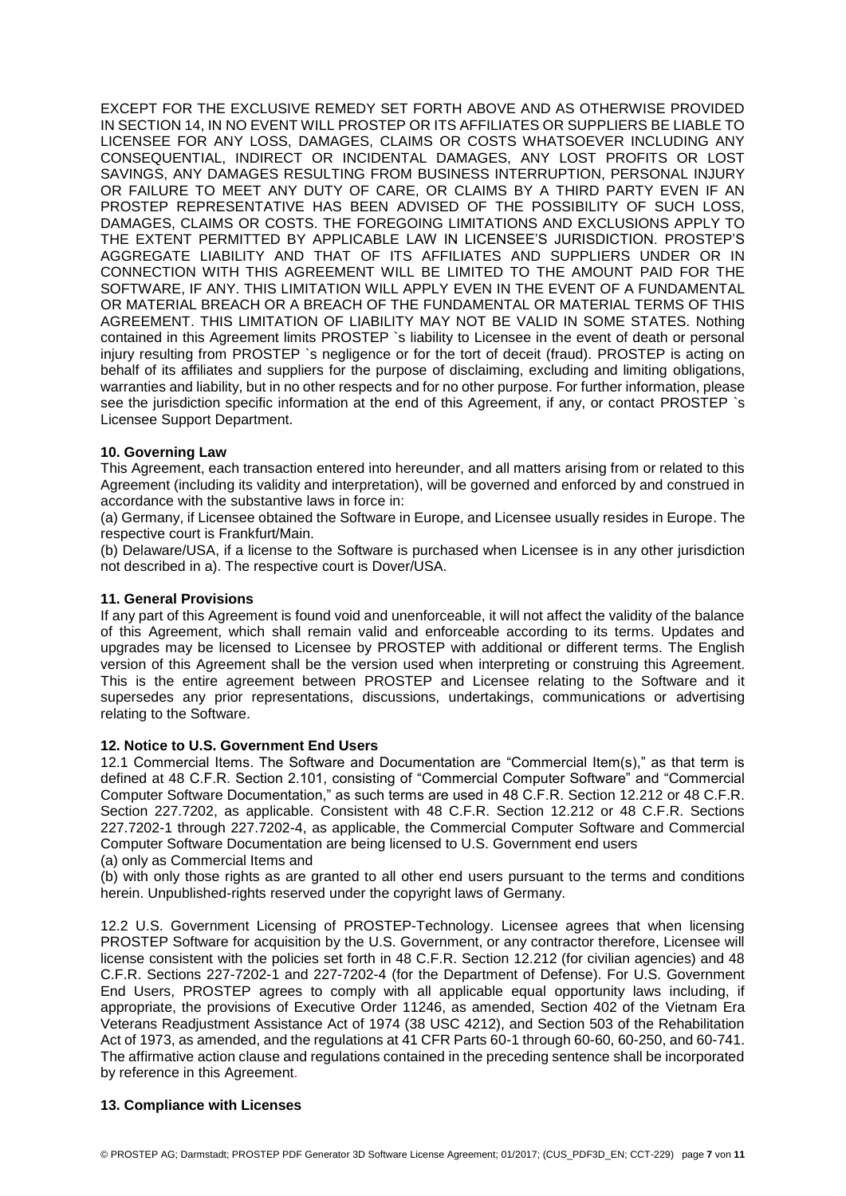EXCEPT FOR THE EXCLUSIVE REMEDY SET FORTH ABOVE AND AS OTHERWISE PROVIDED IN SECTION 14, IN NO EVENT WILL PROSTEP OR ITS AFFILIATES OR SUPPLIERS BE LIABLE TO LICENSEE FOR ANY LOSS, DAMAGES, CLAIMS OR COSTS WHATSOEVER INCLUDING ANY CONSEQUENTIAL, INDIRECT OR INCIDENTAL DAMAGES, ANY LOST PROFITS OR LOST SAVINGS, ANY DAMAGES RESULTING FROM BUSINESS INTERRUPTION, PERSONAL INJURY OR FAILURE TO MEET ANY DUTY OF CARE, OR CLAIMS BY A THIRD PARTY EVEN IF AN PROSTEP REPRESENTATIVE HAS BEEN ADVISED OF THE POSSIBILITY OF SUCH LOSS, DAMAGES, CLAIMS OR COSTS. THE FOREGOING LIMITATIONS AND EXCLUSIONS APPLY TO THE EXTENT PERMITTED BY APPLICABLE LAW IN LICENSEE'S JURISDICTION. PROSTEP'S AGGREGATE LIABILITY AND THAT OF ITS AFFILIATES AND SUPPLIERS UNDER OR IN CONNECTION WITH THIS AGREEMENT WILL BE LIMITED TO THE AMOUNT PAID FOR THE SOFTWARE, IF ANY. THIS LIMITATION WILL APPLY EVEN IN THE EVENT OF A FUNDAMENTAL OR MATERIAL BREACH OR A BREACH OF THE FUNDAMENTAL OR MATERIAL TERMS OF THIS AGREEMENT. THIS LIMITATION OF LIABILITY MAY NOT BE VALID IN SOME STATES. Nothing contained in this Agreement limits PROSTEP `s liability to Licensee in the event of death or personal injury resulting from PROSTEP `s negligence or for the tort of deceit (fraud). PROSTEP is acting on behalf of its affiliates and suppliers for the purpose of disclaiming, excluding and limiting obligations, warranties and liability, but in no other respects and for no other purpose. For further information, please see the jurisdiction specific information at the end of this Agreement, if any, or contact PROSTEP `s Licensee Support Department.

## **10. Governing Law**

This Agreement, each transaction entered into hereunder, and all matters arising from or related to this Agreement (including its validity and interpretation), will be governed and enforced by and construed in accordance with the substantive laws in force in:

(a) Germany, if Licensee obtained the Software in Europe, and Licensee usually resides in Europe. The respective court is Frankfurt/Main.

(b) Delaware/USA, if a license to the Software is purchased when Licensee is in any other jurisdiction not described in a). The respective court is Dover/USA.

### **11. General Provisions**

If any part of this Agreement is found void and unenforceable, it will not affect the validity of the balance of this Agreement, which shall remain valid and enforceable according to its terms. Updates and upgrades may be licensed to Licensee by PROSTEP with additional or different terms. The English version of this Agreement shall be the version used when interpreting or construing this Agreement. This is the entire agreement between PROSTEP and Licensee relating to the Software and it supersedes any prior representations, discussions, undertakings, communications or advertising relating to the Software.

### **12. Notice to U.S. Government End Users**

12.1 Commercial Items. The Software and Documentation are "Commercial Item(s)," as that term is defined at 48 C.F.R. Section 2.101, consisting of "Commercial Computer Software" and "Commercial Computer Software Documentation," as such terms are used in 48 C.F.R. Section 12.212 or 48 C.F.R. Section 227.7202, as applicable. Consistent with 48 C.F.R. Section 12.212 or 48 C.F.R. Sections 227.7202-1 through 227.7202-4, as applicable, the Commercial Computer Software and Commercial Computer Software Documentation are being licensed to U.S. Government end users

(a) only as Commercial Items and

(b) with only those rights as are granted to all other end users pursuant to the terms and conditions herein. Unpublished-rights reserved under the copyright laws of Germany.

12.2 U.S. Government Licensing of PROSTEP-Technology. Licensee agrees that when licensing PROSTEP Software for acquisition by the U.S. Government, or any contractor therefore, Licensee will license consistent with the policies set forth in 48 C.F.R. Section 12.212 (for civilian agencies) and 48 C.F.R. Sections 227-7202-1 and 227-7202-4 (for the Department of Defense). For U.S. Government End Users, PROSTEP agrees to comply with all applicable equal opportunity laws including, if appropriate, the provisions of Executive Order 11246, as amended, Section 402 of the Vietnam Era Veterans Readjustment Assistance Act of 1974 (38 USC 4212), and Section 503 of the Rehabilitation Act of 1973, as amended, and the regulations at 41 CFR Parts 60-1 through 60-60, 60-250, and 60-741. The affirmative action clause and regulations contained in the preceding sentence shall be incorporated by reference in this Agreement.

### **13. Compliance with Licenses**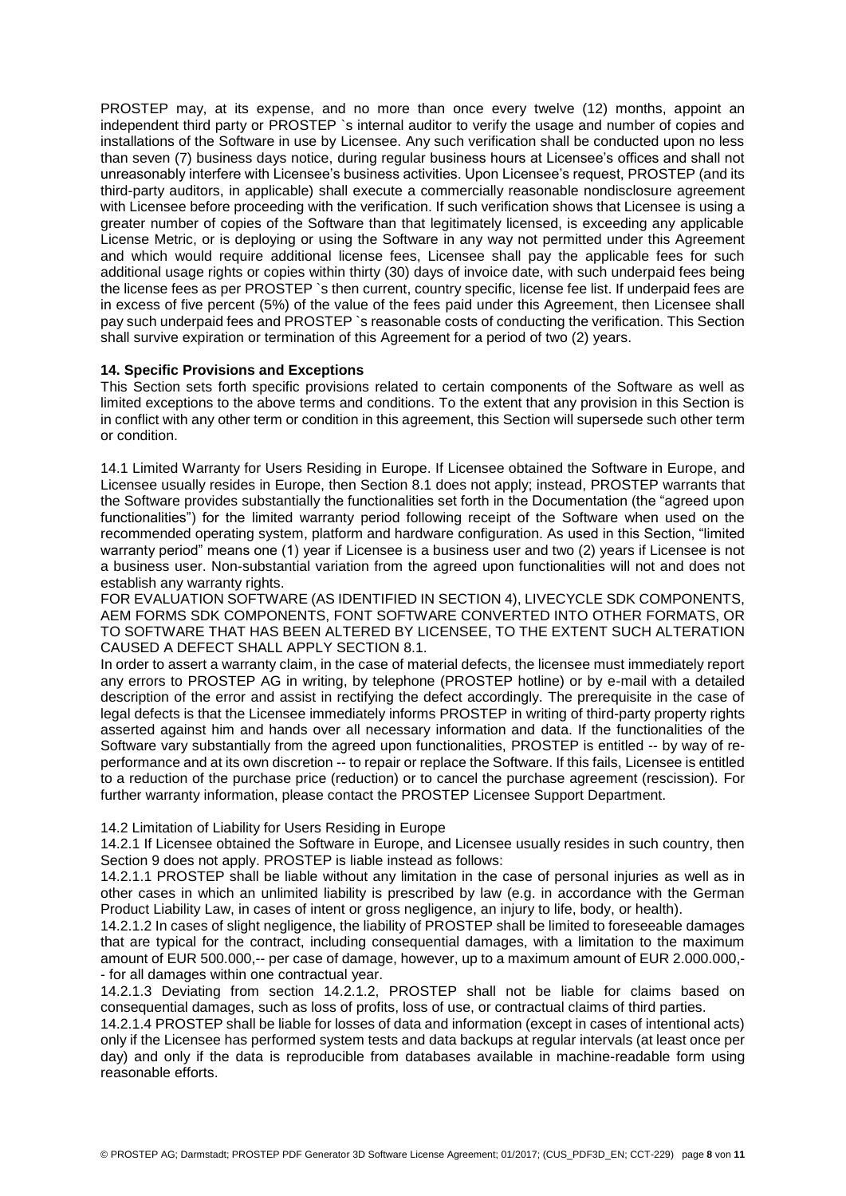PROSTEP may, at its expense, and no more than once every twelve (12) months, appoint an independent third party or PROSTEP `s internal auditor to verify the usage and number of copies and installations of the Software in use by Licensee. Any such verification shall be conducted upon no less than seven (7) business days notice, during regular business hours at Licensee's offices and shall not unreasonably interfere with Licensee's business activities. Upon Licensee's request, PROSTEP (and its third-party auditors, in applicable) shall execute a commercially reasonable nondisclosure agreement with Licensee before proceeding with the verification. If such verification shows that Licensee is using a greater number of copies of the Software than that legitimately licensed, is exceeding any applicable License Metric, or is deploying or using the Software in any way not permitted under this Agreement and which would require additional license fees, Licensee shall pay the applicable fees for such additional usage rights or copies within thirty (30) days of invoice date, with such underpaid fees being the license fees as per PROSTEP `s then current, country specific, license fee list. If underpaid fees are in excess of five percent (5%) of the value of the fees paid under this Agreement, then Licensee shall pay such underpaid fees and PROSTEP `s reasonable costs of conducting the verification. This Section shall survive expiration or termination of this Agreement for a period of two (2) years.

## **14. Specific Provisions and Exceptions**

This Section sets forth specific provisions related to certain components of the Software as well as limited exceptions to the above terms and conditions. To the extent that any provision in this Section is in conflict with any other term or condition in this agreement, this Section will supersede such other term or condition.

14.1 Limited Warranty for Users Residing in Europe. If Licensee obtained the Software in Europe, and Licensee usually resides in Europe, then Section 8.1 does not apply; instead, PROSTEP warrants that the Software provides substantially the functionalities set forth in the Documentation (the "agreed upon functionalities") for the limited warranty period following receipt of the Software when used on the recommended operating system, platform and hardware configuration. As used in this Section, "limited warranty period" means one (1) year if Licensee is a business user and two (2) years if Licensee is not a business user. Non-substantial variation from the agreed upon functionalities will not and does not establish any warranty rights.

FOR EVALUATION SOFTWARE (AS IDENTIFIED IN SECTION 4), LIVECYCLE SDK COMPONENTS, AEM FORMS SDK COMPONENTS, FONT SOFTWARE CONVERTED INTO OTHER FORMATS, OR TO SOFTWARE THAT HAS BEEN ALTERED BY LICENSEE, TO THE EXTENT SUCH ALTERATION CAUSED A DEFECT SHALL APPLY SECTION 8.1.

In order to assert a warranty claim, in the case of material defects, the licensee must immediately report any errors to PROSTEP AG in writing, by telephone (PROSTEP hotline) or by e-mail with a detailed description of the error and assist in rectifying the defect accordingly. The prerequisite in the case of legal defects is that the Licensee immediately informs PROSTEP in writing of third-party property rights asserted against him and hands over all necessary information and data. If the functionalities of the Software vary substantially from the agreed upon functionalities, PROSTEP is entitled -- by way of reperformance and at its own discretion -- to repair or replace the Software. If this fails, Licensee is entitled to a reduction of the purchase price (reduction) or to cancel the purchase agreement (rescission). For further warranty information, please contact the PROSTEP Licensee Support Department.

### 14.2 Limitation of Liability for Users Residing in Europe

14.2.1 If Licensee obtained the Software in Europe, and Licensee usually resides in such country, then Section 9 does not apply. PROSTEP is liable instead as follows:

14.2.1.1 PROSTEP shall be liable without any limitation in the case of personal injuries as well as in other cases in which an unlimited liability is prescribed by law (e.g. in accordance with the German Product Liability Law, in cases of intent or gross negligence, an injury to life, body, or health).

14.2.1.2 In cases of slight negligence, the liability of PROSTEP shall be limited to foreseeable damages that are typical for the contract, including consequential damages, with a limitation to the maximum amount of EUR 500.000,-- per case of damage, however, up to a maximum amount of EUR 2.000.000,- - for all damages within one contractual year.

14.2.1.3 Deviating from section 14.2.1.2, PROSTEP shall not be liable for claims based on consequential damages, such as loss of profits, loss of use, or contractual claims of third parties.

14.2.1.4 PROSTEP shall be liable for losses of data and information (except in cases of intentional acts) only if the Licensee has performed system tests and data backups at regular intervals (at least once per day) and only if the data is reproducible from databases available in machine-readable form using reasonable efforts.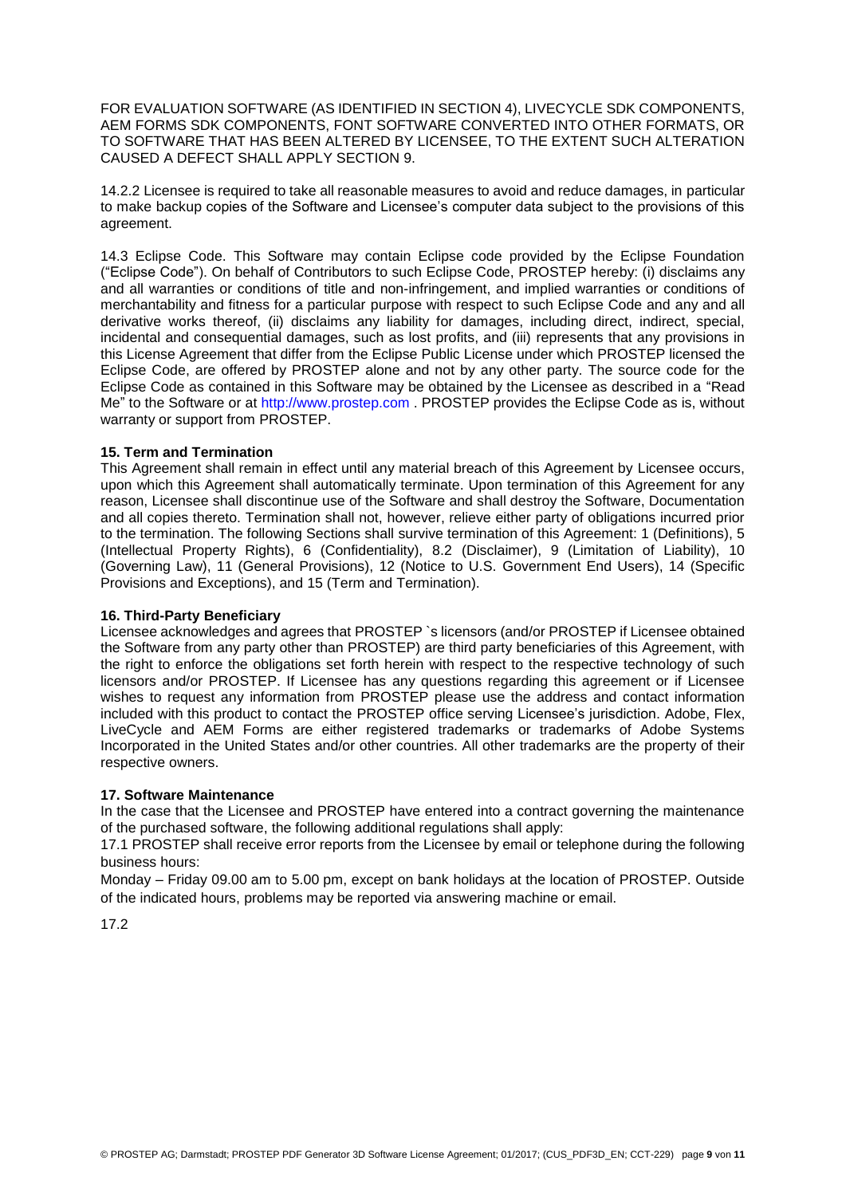FOR EVALUATION SOFTWARE (AS IDENTIFIED IN SECTION 4), LIVECYCLE SDK COMPONENTS, AEM FORMS SDK COMPONENTS, FONT SOFTWARE CONVERTED INTO OTHER FORMATS, OR TO SOFTWARE THAT HAS BEEN ALTERED BY LICENSEE, TO THE EXTENT SUCH ALTERATION CAUSED A DEFECT SHALL APPLY SECTION 9.

14.2.2 Licensee is required to take all reasonable measures to avoid and reduce damages, in particular to make backup copies of the Software and Licensee's computer data subject to the provisions of this agreement.

14.3 Eclipse Code. This Software may contain Eclipse code provided by the Eclipse Foundation ("Eclipse Code"). On behalf of Contributors to such Eclipse Code, PROSTEP hereby: (i) disclaims any and all warranties or conditions of title and non-infringement, and implied warranties or conditions of merchantability and fitness for a particular purpose with respect to such Eclipse Code and any and all derivative works thereof, (ii) disclaims any liability for damages, including direct, indirect, special, incidental and consequential damages, such as lost profits, and (iii) represents that any provisions in this License Agreement that differ from the Eclipse Public License under which PROSTEP licensed the Eclipse Code, are offered by PROSTEP alone and not by any other party. The source code for the Eclipse Code as contained in this Software may be obtained by the Licensee as described in a "Read Me" to the Software or at http://www.prostep.com . PROSTEP provides the Eclipse Code as is, without warranty or support from PROSTEP.

### **15. Term and Termination**

This Agreement shall remain in effect until any material breach of this Agreement by Licensee occurs, upon which this Agreement shall automatically terminate. Upon termination of this Agreement for any reason, Licensee shall discontinue use of the Software and shall destroy the Software, Documentation and all copies thereto. Termination shall not, however, relieve either party of obligations incurred prior to the termination. The following Sections shall survive termination of this Agreement: 1 (Definitions), 5 (Intellectual Property Rights), 6 (Confidentiality), 8.2 (Disclaimer), 9 (Limitation of Liability), 10 (Governing Law), 11 (General Provisions), 12 (Notice to U.S. Government End Users), 14 (Specific Provisions and Exceptions), and 15 (Term and Termination).

### **16. Third-Party Beneficiary**

Licensee acknowledges and agrees that PROSTEP `s licensors (and/or PROSTEP if Licensee obtained the Software from any party other than PROSTEP) are third party beneficiaries of this Agreement, with the right to enforce the obligations set forth herein with respect to the respective technology of such licensors and/or PROSTEP. If Licensee has any questions regarding this agreement or if Licensee wishes to request any information from PROSTEP please use the address and contact information included with this product to contact the PROSTEP office serving Licensee's jurisdiction. Adobe, Flex, LiveCycle and AEM Forms are either registered trademarks or trademarks of Adobe Systems Incorporated in the United States and/or other countries. All other trademarks are the property of their respective owners.

### **17. Software Maintenance**

In the case that the Licensee and PROSTEP have entered into a contract governing the maintenance of the purchased software, the following additional regulations shall apply:

17.1 PROSTEP shall receive error reports from the Licensee by email or telephone during the following business hours:

Monday – Friday 09.00 am to 5.00 pm, except on bank holidays at the location of PROSTEP. Outside of the indicated hours, problems may be reported via answering machine or email.

17.2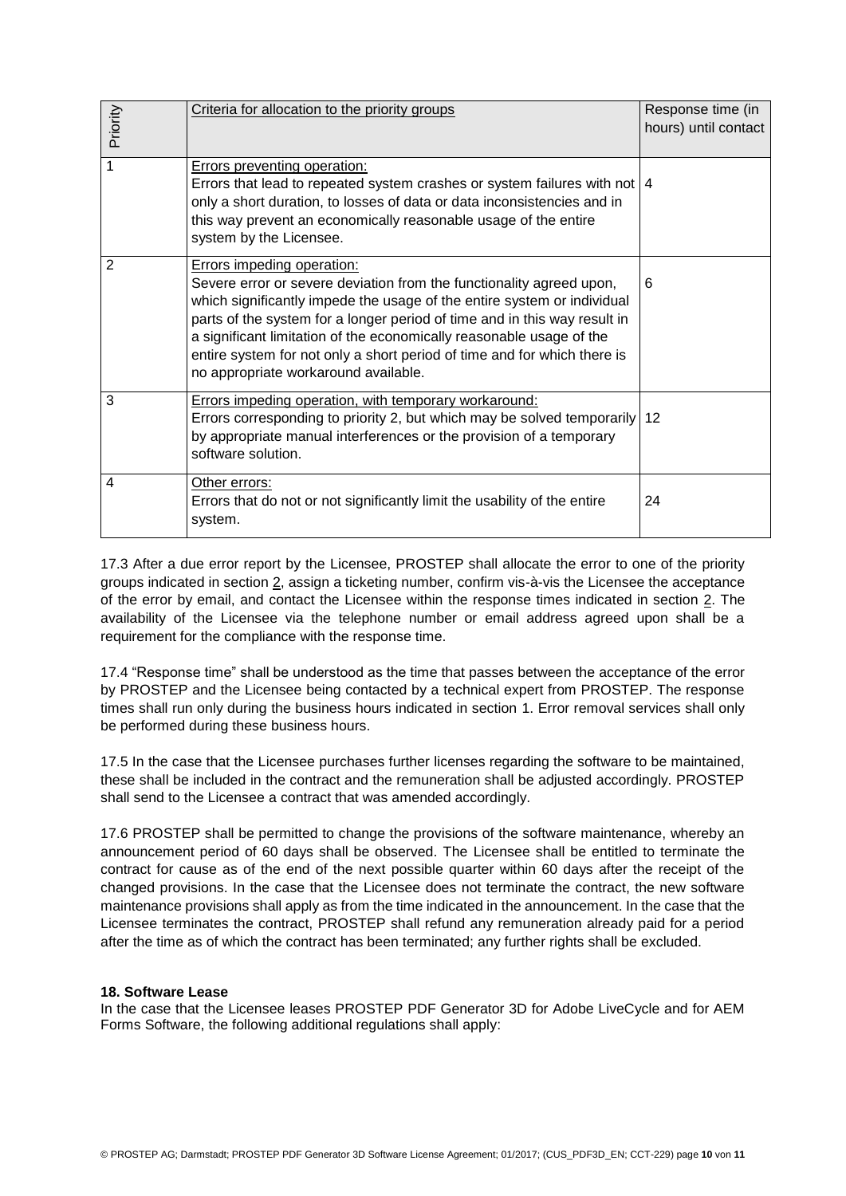|                                                                                                                                                                                                                                                                                                                                                                                                                                                                                                                                                                                                                                                                                                                                                                                                                                                        | Criteria for allocation to the priority groups                                                                                                                                                                                                                                                                                                                                                                                                                | Response time (in    |
|--------------------------------------------------------------------------------------------------------------------------------------------------------------------------------------------------------------------------------------------------------------------------------------------------------------------------------------------------------------------------------------------------------------------------------------------------------------------------------------------------------------------------------------------------------------------------------------------------------------------------------------------------------------------------------------------------------------------------------------------------------------------------------------------------------------------------------------------------------|---------------------------------------------------------------------------------------------------------------------------------------------------------------------------------------------------------------------------------------------------------------------------------------------------------------------------------------------------------------------------------------------------------------------------------------------------------------|----------------------|
| Priority                                                                                                                                                                                                                                                                                                                                                                                                                                                                                                                                                                                                                                                                                                                                                                                                                                               |                                                                                                                                                                                                                                                                                                                                                                                                                                                               | hours) until contact |
|                                                                                                                                                                                                                                                                                                                                                                                                                                                                                                                                                                                                                                                                                                                                                                                                                                                        |                                                                                                                                                                                                                                                                                                                                                                                                                                                               |                      |
| 1                                                                                                                                                                                                                                                                                                                                                                                                                                                                                                                                                                                                                                                                                                                                                                                                                                                      | <b>Errors preventing operation:</b><br>Errors that lead to repeated system crashes or system failures with not $ 4$<br>only a short duration, to losses of data or data inconsistencies and in<br>this way prevent an economically reasonable usage of the entire<br>system by the Licensee.                                                                                                                                                                  |                      |
| $\overline{2}$                                                                                                                                                                                                                                                                                                                                                                                                                                                                                                                                                                                                                                                                                                                                                                                                                                         | <b>Errors impeding operation:</b><br>Severe error or severe deviation from the functionality agreed upon,<br>which significantly impede the usage of the entire system or individual<br>parts of the system for a longer period of time and in this way result in<br>a significant limitation of the economically reasonable usage of the<br>entire system for not only a short period of time and for which there is<br>no appropriate workaround available. | 6                    |
| 3                                                                                                                                                                                                                                                                                                                                                                                                                                                                                                                                                                                                                                                                                                                                                                                                                                                      | Errors impeding operation, with temporary workaround:<br>Errors corresponding to priority 2, but which may be solved temporarily<br>by appropriate manual interferences or the provision of a temporary<br>software solution.                                                                                                                                                                                                                                 | 12                   |
| 4                                                                                                                                                                                                                                                                                                                                                                                                                                                                                                                                                                                                                                                                                                                                                                                                                                                      | Other errors:<br>Errors that do not or not significantly limit the usability of the entire<br>system.                                                                                                                                                                                                                                                                                                                                                         | 24                   |
| 17.3 After a due error report by the Licensee, PROSTEP shall allocate the error to one of the priority<br>groups indicated in section 2, assign a ticketing number, confirm vis-à-vis the Licensee the acceptance<br>of the error by email, and contact the Licensee within the response times indicated in section 2. The<br>availability of the Licensee via the telephone number or email address agreed upon shall be a<br>requirement for the compliance with the response time.<br>17.4 "Response time" shall be understood as the time that passes between the acceptance of the error<br>by PROSTEP and the Licensee being contacted by a technical expert from PROSTEP. The response<br>times shall run only during the business hours indicated in section 1. Error removal services shall only<br>be performed during these business hours. |                                                                                                                                                                                                                                                                                                                                                                                                                                                               |                      |
| 17.5 In the case that the Licensee purchases further licenses regarding the software to be maintained,<br>these shall be included in the contract and the remuneration shall be adjusted accordingly. PROSTEP<br>shall send to the Licensee a contract that was amended accordingly.                                                                                                                                                                                                                                                                                                                                                                                                                                                                                                                                                                   |                                                                                                                                                                                                                                                                                                                                                                                                                                                               |                      |
| 17.6 PROSTEP shall be permitted to change the provisions of the software maintenance, whereby an<br>announcement period of 60 days shall be observed. The Licensee shall be entitled to terminate the<br>contract for cause as of the end of the next possible quarter within 60 days after the receipt of the<br>changed provisions. In the case that the Licensee does not terminate the contract, the new software<br>maintenance provisions shall apply as from the time indicated in the announcement. In the case that the<br>Licensee terminates the contract, PROSTEP shall refund any remuneration already paid for a period<br>after the time as of which the contract has been terminated; any further rights shall be excluded.                                                                                                            |                                                                                                                                                                                                                                                                                                                                                                                                                                                               |                      |
| <b>18. Software Lease</b>                                                                                                                                                                                                                                                                                                                                                                                                                                                                                                                                                                                                                                                                                                                                                                                                                              | In the case that the Licensee leases PROSTEP PDF Generator 3D for Adobe LiveCycle and for AEM<br>Forms Software, the following additional regulations shall apply:                                                                                                                                                                                                                                                                                            |                      |
|                                                                                                                                                                                                                                                                                                                                                                                                                                                                                                                                                                                                                                                                                                                                                                                                                                                        | © PROSTEP AG; Darmstadt; PROSTEP PDF Generator 3D Software License Agreement; 01/2017; (CUS_PDF3D_EN; CCT-229) page 10 von 11                                                                                                                                                                                                                                                                                                                                 |                      |

### **18. Software Lease**